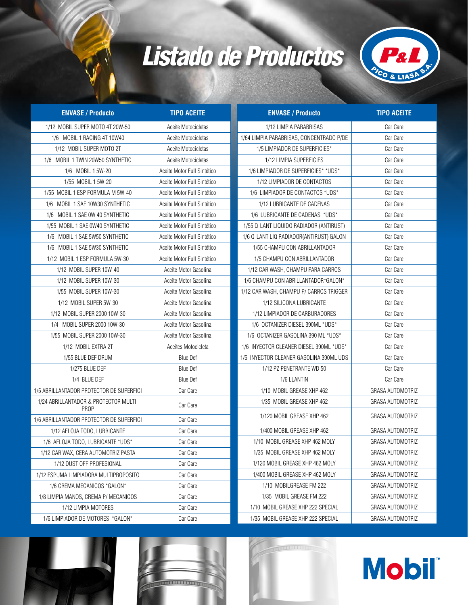## *Listado de Productos*



| <b>ENVASE / Producto</b>                             | <b>TIPO ACEITE</b>          | <b>ENVASE / Producto</b>                 | <b>TIPO ACEITE</b>      |
|------------------------------------------------------|-----------------------------|------------------------------------------|-------------------------|
| 1/12 MOBIL SUPER MOTO 4T 20W-50                      | Aceite Motocicletas         | 1/12 LIMPIA PARABRISAS                   | Car Care                |
| 1/6 MOBIL 1 RACING 4T 10W40                          | Aceite Motocicletas         | 1/64 LIMPIA PARABRISAS, CONCENTRADO P/DE | Car Care                |
| 1/12 MOBIL SUPER MOTO 2T                             | Aceite Motocicletas         | 1/5 LIMPIADOR DE SUPERFICIES*            | Car Care                |
| 1/6 MOBIL 1 TWIN 20W50 SYNTHETIC                     | Aceite Motocicletas         | 1/12 LIMPIA SUPERFICIES                  | Car Care                |
| 1/6 MOBIL 1 5W-20                                    | Aceite Motor Full Sintético | 1/6 LIMPIADOR DE SUPERFICIES* *UDS*      | Car Care                |
| 1/55 MOBIL 1 5W-20                                   | Aceite Motor Full Sintético | 1/12 LIMPIADOR DE CONTACTOS              | Car Care                |
| 1/55 MOBIL 1 ESP FORMULA M 5W-40                     | Aceite Motor Full Sintético | 1/6 LIMPIADOR DE CONTACTOS *UDS*         | Car Care                |
| 1/6 MOBIL 1 SAE 10W30 SYNTHETIC                      | Aceite Motor Full Sintético | 1/12 LUBRICANTE DE CADENAS               | Car Care                |
| 1/6 MOBIL 1 SAE OW 40 SYNTHETIC                      | Aceite Motor Full Sintético | 1/6 LUBRICANTE DE CADENAS *UDS*          | Car Care                |
| 1/55 MOBIL 1 SAE 0W40 SYNTHETIC                      | Aceite Motor Full Sintético | 1/55 Q-LANT LIQUIDO RADIADOR (ANTIRUST)  | Car Care                |
| 1/6 MOBIL 1 SAE 5W50 SYNTHETIC                       | Aceite Motor Full Sintético | 1/6 Q-LANT LIQ RADIADOR(ANTIRUST) GALON  | Car Care                |
| 1/6 MOBIL 1 SAE 5W30 SYNTHETIC                       | Aceite Motor Full Sintético | 1/55 CHAMPU CON ABRILLANTADOR            | Car Care                |
| 1/12 MOBIL 1 ESP FORMULA 5W-30                       | Aceite Motor Full Sintético | 1/5 CHAMPU CON ABRILLANTADOR             | Car Care                |
| 1/12 MOBIL SUPER 10W-40                              | Aceite Motor Gasolina       | 1/12 CAR WASH, CHAMPU PARA CARROS        | Car Care                |
| 1/12 MOBIL SUPER 10W-30                              | Aceite Motor Gasolina       | 1/6 CHAMPU CON ABRILLANTADOR*GALON*      | Car Care                |
| 1/55 MOBIL SUPER 10W-30                              | Aceite Motor Gasolina       | 1/12 CAR WASH. CHAMPU P/ CARROS TRIGGER  | Car Care                |
| 1/12 MOBIL SUPER 5W-30                               | Aceite Motor Gasolina       | 1/12 SILICONA LUBRICANTE                 | Car Care                |
| 1/12 MOBIL SUPER 2000 10W-30                         | Aceite Motor Gasolina       | 1/12 LIMPIADOR DE CARBURADORES           | Car Care                |
| 1/4 MOBIL SUPER 2000 10W-30                          | Aceite Motor Gasolina       | 1/6 OCTANIZER DIESEL 390ML *UDS*         | Car Care                |
| 1/55 MOBIL SUPER 2000 10W-30                         | Aceite Motor Gasolina       | 1/6 OCTANIZER GASOLINA 390 ML *UDS*      | Car Care                |
| 1/12 MOBIL EXTRA 2T                                  | Aceites Motocicleta         | 1/6 INYECTOR CLEANER DIESEL 390ML *UDS*  | Car Care                |
| 1/55 BLUE DEF DRUM                                   | <b>Blue Def</b>             | 1/6 INYECTOR CLEANER GASOLINA 390ML UDS  | Car Care                |
| 1/275 BLUE DEF                                       | <b>Blue Def</b>             | 1/12 PZ PENETRANTE WD 50                 | Car Care                |
| 1/4 BLUE DEF                                         | <b>Blue Def</b>             | 1/6 LLANTIN                              | Car Care                |
| 1/5 ABRILLANTADOR PROTECTOR DE SUPERFICI             | Car Care                    | 1/10 MOBIL GREASE XHP 462                | GRASA AUTOMOTRIZ        |
| 1/24 ABRILLANTADOR & PROTECTOR MULTI-<br><b>PROP</b> | Car Care                    | 1/35 MOBIL GREASE XHP 462                | <b>GRASA AUTOMOTRIZ</b> |
| 1/6 ABRILLANTADOR PROTECTOR DE SUPERFICI             | Car Care                    | 1/120 MOBIL GREASE XHP 462               | <b>GRASA AUTOMOTRIZ</b> |
| 1/12 AFLOJA TODO, LUBRICANTE                         | Car Care                    | 1/400 MOBIL GREASE XHP 462               | GRASA AUTOMOTRIZ        |
| 1/6 AFLOJA TODO, LUBRICANTE *UDS*                    | Car Care                    | 1/10 MOBIL GREASE XHP 462 MOLY           | <b>GRASA AUTOMOTRIZ</b> |
| 1/12 CAR WAX, CERA AUTOMOTRIZ PASTA                  | Car Care                    | 1/35 MOBIL GREASE XHP 462 MOLY           | <b>GRASA AUTOMOTRIZ</b> |
| 1/12 DUST OFF PROFESIONAL                            | Car Care                    | 1/120 MOBIL GREASE XHP 462 MOLY          | GRASA AUTOMOTRIZ        |
| 1/12 ESPUMA LIMPIADORA MULTIPROPOSITO                | Car Care                    | 1/400 MOBIL GREASE XHP 462 MOLY          | GRASA AUTOMOTRIZ        |
| 1/6 CREMA MECANICOS *GALON*                          | Car Care                    | 1/10 MOBILGREASE FM 222                  | GRASA AUTOMOTRIZ        |
| 1/8 LIMPIA MANOS, CREMA P/ MECANICOS                 | Car Care                    | 1/35 MOBIL GREASE FM 222                 | <b>GRASA AUTOMOTRIZ</b> |
| 1/12 LIMPIA MOTORES                                  | Car Care                    | 1/10 MOBIL GREASE XHP 222 SPECIAL        | <b>GRASA AUTOMOTRIZ</b> |
| 1/6 LIMPIADOR DE MOTORES *GALON*                     | Car Care                    | 1/35 MOBIL GREASE XHP 222 SPECIAL        | <b>GRASA AUTOMOTRIZ</b> |



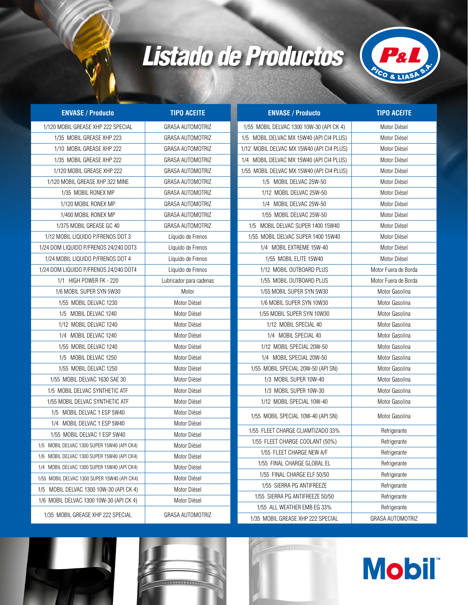## *Listado de Productos*



| <b>ENVASE / Producto</b>                     | <b>TIPO ACEITE</b>      | <b>ENVASE / Producto</b>                                         | <b>TIPO ACEITE</b>               |
|----------------------------------------------|-------------------------|------------------------------------------------------------------|----------------------------------|
| 1/120 MOBIL GREASE XHP 222 SPECIAL           | <b>GRASA AUTOMOTRIZ</b> | 1/55 MOBIL DELVAC 1300 10W-30 (API CK 4)                         | Motor Diésel                     |
| 1/35 MOBIL GREASE XHP 223                    | <b>GRASA AUTOMOTRIZ</b> | 1/5 MOBIL DELVAC MX 15W40 (API CI4 PLUS)                         | Motor Diésel                     |
| 1/10 MOBIL GREASE XHP 222                    | <b>GRASA AUTOMOTRIZ</b> | 1/12 MOBIL DELVAC MX 15W40 (API CI4 PLUS)                        | Motor Diésel                     |
| 1/35 MOBIL GREASE XHP 222                    | <b>GRASA AUTOMOTRIZ</b> | 1/4 MOBIL DELVAC MX 15W40 (API CI4 PLUS)                         | Motor Diésel                     |
| 1/120 MOBIL GREASE XHP 222                   | <b>GRASA AUTOMOTRIZ</b> | 1/55 MOBIL DELVAC MX 15W40 (API CI4 PLUS)                        | Motor Diésel                     |
| 1/120 MOBIL GREASE XHP 322 MINE              | GRASA AUTOMOTRIZ        | 1/5 MOBIL DELVAC 25W-50                                          | Motor Diésel                     |
| 1/35 MOBIL RONEX MP                          | <b>GRASA AUTOMOTRIZ</b> | 1/12 MOBIL DELVAC 25W-50                                         | Motor Diésel                     |
| 1/120 MOBIL RONEX MP                         | GRASA AUTOMOTRIZ        | 1/4 MOBIL DELVAC 25W-50                                          | Motor Diésel                     |
| 1/400 MOBIL RONEX MP                         | GRASA AUTOMOTRIZ        | 1/55 MOBIL DELVAC 25W-50                                         | Motor Diésel                     |
| 1/375 MOBIL GREASE GC 40                     | GRASA AUTOMOTRIZ        | 1/5 MOBIL DELVAC SUPER 1400 15W40                                | Motor Diésel                     |
| 1/12 MOBIL LIQUIDO P/FRENOS DOT 3            | Líquido de Frenos       | 1/55 MOBIL DELVAC SUPER 1400 15W40                               | Motor Diésel                     |
| 1/24 DOM LIQUIDO P/FRENOS 24/240 DOT3        | Líquido de Frenos       | 1/4 MOBIL EXTREME 15W-40                                         | Motor Diésel                     |
| 1/24 MOBIL LIQUIDO P/FRENOS DOT 4            | Líquido de Frenos       | 1/55 MOBIL ELITE 15W40                                           | Motor Diésel                     |
| 1/24 DOM LIQUIDO P/FRENOS 24/240 DOT4        | Líquido de Frenos       | 1/12 MOBIL OUTBOARD PLUS                                         | Motor Fuera de Borda             |
| 1/1 HIGH POWER FK - 220                      | Lubricador para cadenas | 1/55 MOBIL OUTBOARD PLUS                                         | Motor Fuera de Borda             |
| 1/6 MOBIL SUPER SYN 5W30                     | Motor                   | 1/55 MOBIL SUPER SYN 5W30                                        | Motor Gasolina                   |
| 1/55 MOBIL DELVAC 1230                       | Motor Diésel            | 1/6 MOBIL SUPER SYN 10W30                                        | Motor Gasolina                   |
| 1/5 MOBIL DELVAC 1240                        | Motor Diésel            | 1/55 MOBIL SUPER SYN 10W30                                       | Motor Gasolina                   |
| 1/12 MOBIL DELVAC 1240                       | Motor Diésel            | 1/12 MOBIL SPECIAL 40                                            | Motor Gasolina                   |
| 1/4 MOBIL DELVAC 1240                        | Motor Diésel            | 1/4 MOBIL SPECIAL 40                                             | Motor Gasolina                   |
| 1/55 MOBIL DELVAC 1240                       | Motor Diésel            | 1/12 MOBIL SPECIAL 20W-50                                        | Motor Gasolina                   |
| 1/5 MOBIL DELVAC 1250                        | Motor Diésel            | 1/4 MOBIL SPECIAL 20W-50                                         | Motor Gasolina                   |
| 1/55 MOBIL DELVAC 1250                       | Motor Diésel            | 1/55 MOBIL SPECIAL 20W-50 (API SN)                               | Motor Gasolina                   |
| 1/55 MOBIL DELVAC 1630 SAE 30                | Motor Diésel            | 1/3 MOBIL SUPER 10W-40                                           | Motor Gasolina                   |
| 1/5 MOBIL DELVAC SYNTHETIC ATF               | Motor Diésel            | 1/3 MOBIL SUPER 10W-30                                           | Motor Gasolina                   |
| 1/55 MOBIL DELVAC SYNTHETIC ATF              | Motor Diésel            | 1/12 MOBIL SPECIAL 10W-40                                        | Motor Gasolina                   |
| 1/5 MOBIL DELVAC 1 ESP 5W40                  | Motor Diésel            | 1/55 MOBIL SPECIAL 10W-40 (API SN)                               | Motor Gasolina                   |
| 1/4 MOBIL DELVAC 1 ESP 5W40                  | Motor Diésel            |                                                                  |                                  |
| 1/55 MOBIL DELVAC 1 ESP 5W40                 | Motor Diésel            | 1/55 FLEET CHARGE CLIAMTIZADO 33%                                | Refrigerante                     |
| 1/5 MOBIL DELVAC 1300 SUPER 15W40 (API CK4)  | Motor Diésel            | 1/55 FLEET CHARGE COOLANT (50%)                                  | Refrigerante                     |
| 1/6 MOBIL DELVAC 1300 SUPER 15W40 (API CK4)  | Motor Diésel            | 1/55 FLEET CHARGE NEW A/F                                        | Refrigerante                     |
| 1/4 MOBIL DELVAC 1300 SUPER 15W40 (API CK4)  | Motor Diésel            | 1/55 FINAL CHARGE GLOBAL EL                                      | Refrigerante                     |
| 1/55 MOBIL DELVAC 1300 SUPER 15W40 (API CK4) | Motor Diésel            | 1/55 FINAL CHARGE ELF 50/50                                      | Refrigerante                     |
| 1/5 MOBIL DELVAC 1300 10W-30 (API CK 4)      | Motor Diésel            | 1/55 SIERRA PG ANTIFREEZE                                        | Refrigerante                     |
| 1/6 MOBIL DELVAC 1300 10W-30 (API CK 4)      | Motor Diésel            | 1/55 SIERRA PG ANTIFREEZE 50/50                                  | Refrigerante                     |
| 1/35 MOBIL GREASE XHP 222 SPECIAL            | GRASA AUTOMOTRIZ        | 1/55 ALL WEATHER EMB EG 33%<br>1/35 MOBIL GREASE XHP 222 SPECIAL | Refrigerante<br>GRASA AUTOMOTRIZ |